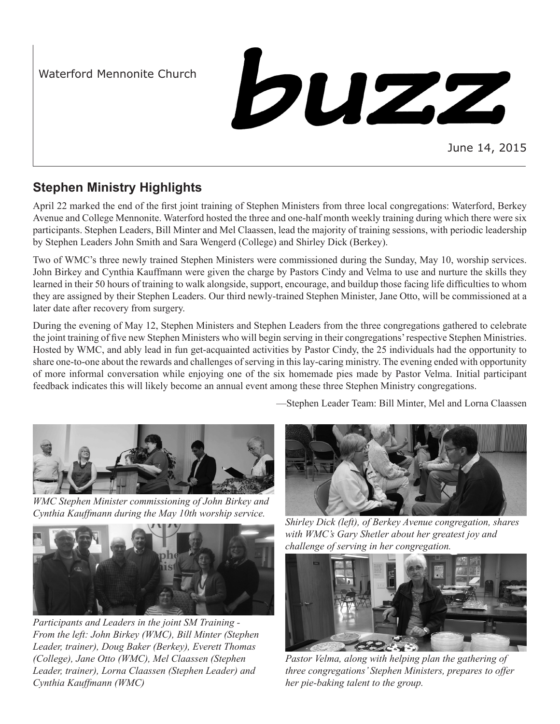Waterford Mennonite Church

buzz

June 14, 2015

# **Stephen Ministry Highlights**

April 22 marked the end of the first joint training of Stephen Ministers from three local congregations: Waterford, Berkey Avenue and College Mennonite. Waterford hosted the three and one-half month weekly training during which there were six participants. Stephen Leaders, Bill Minter and Mel Claassen, lead the majority of training sessions, with periodic leadership by Stephen Leaders John Smith and Sara Wengerd (College) and Shirley Dick (Berkey).

Two of WMC's three newly trained Stephen Ministers were commissioned during the Sunday, May 10, worship services. John Birkey and Cynthia Kauffmann were given the charge by Pastors Cindy and Velma to use and nurture the skills they learned in their 50 hours of training to walk alongside, support, encourage, and buildup those facing life difficulties to whom they are assigned by their Stephen Leaders. Our third newly-trained Stephen Minister, Jane Otto, will be commissioned at a later date after recovery from surgery.

During the evening of May 12, Stephen Ministers and Stephen Leaders from the three congregations gathered to celebrate the joint training of five new Stephen Ministers who will begin serving in their congregations' respective Stephen Ministries. Hosted by WMC, and ably lead in fun get-acquainted activities by Pastor Cindy, the 25 individuals had the opportunity to share one-to-one about the rewards and challenges of serving in this lay-caring ministry. The evening ended with opportunity of more informal conversation while enjoying one of the six homemade pies made by Pastor Velma. Initial participant feedback indicates this will likely become an annual event among these three Stephen Ministry congregations.

—Stephen Leader Team: Bill Minter, Mel and Lorna Claassen



*WMC Stephen Minister commissioning of John Birkey and Cynthia Kauffmann during the May 10th worship service.*



*Participants and Leaders in the joint SM Training - From the left: John Birkey (WMC), Bill Minter (Stephen Leader, trainer), Doug Baker (Berkey), Everett Thomas (College), Jane Otto (WMC), Mel Claassen (Stephen Leader, trainer), Lorna Claassen (Stephen Leader) and Cynthia Kauffmann (WMC)*



*Shirley Dick (left), of Berkey Avenue congregation, shares with WMC's Gary Shetler about her greatest joy and challenge of serving in her congregation.*



*Pastor Velma, along with helping plan the gathering of three congregations' Stephen Ministers, prepares to offer her pie-baking talent to the group.*